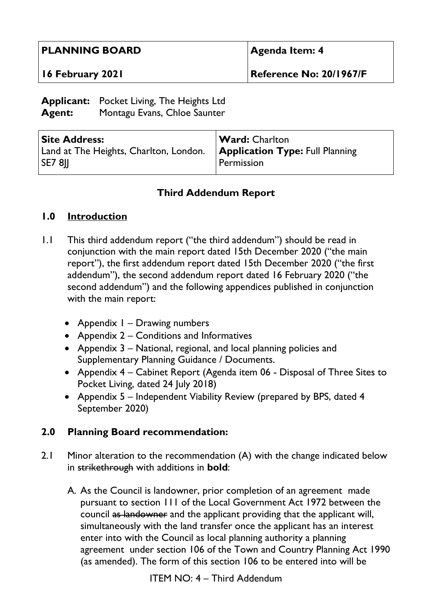| <b>PLANNING BOARD</b>                                                                             |  | <b>Agenda Item: 4</b>          |                       |
|---------------------------------------------------------------------------------------------------|--|--------------------------------|-----------------------|
| 16 February 2021                                                                                  |  | <b>Reference No: 20/1967/F</b> |                       |
| <b>Applicant:</b> Pocket Living, The Heights Ltd<br>Montagu Evans, Chloe Saunter<br><b>Agent:</b> |  |                                |                       |
| <b>Site Address:</b>                                                                              |  |                                | <b>Ward: Charlton</b> |

## **Third Addendum Report**

Permission

**Application Type:** Full Planning

## **1.0 Introduction**

**SE7 8JJ** 

- 1.1 This third addendum report ("the third addendum") should be read in conjunction with the main report dated 15th December 2020 ("the main report"), the first addendum report dated 15th December 2020 ("the first addendum"), the second addendum report dated 16 February 2020 ("the second addendum") and the following appendices published in conjunction with the main report:
	- Appendix I Drawing numbers

Land at The Heights, Charlton, London.

- Appendix 2 Conditions and Informatives
- Appendix 3 National, regional, and local planning policies and Supplementary Planning Guidance / Documents.
- Appendix 4 Cabinet Report (Agenda item 06 Disposal of Three Sites to Pocket Living, dated 24 July 2018)
- Appendix 5 Independent Viability Review (prepared by BPS, dated 4 September 2020)

## **2.0 Planning Board recommendation:**

- 2.1 Minor alteration to the recommendation (A) with the change indicated below in strikethrough with additions in **bold**:
	- A. As the Council is landowner, prior completion of an agreement made pursuant to section 111 of the Local Government Act 1972 between the council as landowner and the applicant providing that the applicant will, simultaneously with the land transfer once the applicant has an interest enter into with the Council as local planning authority a planning agreement under section 106 of the Town and Country Planning Act 1990 (as amended). The form of this section 106 to be entered into will be